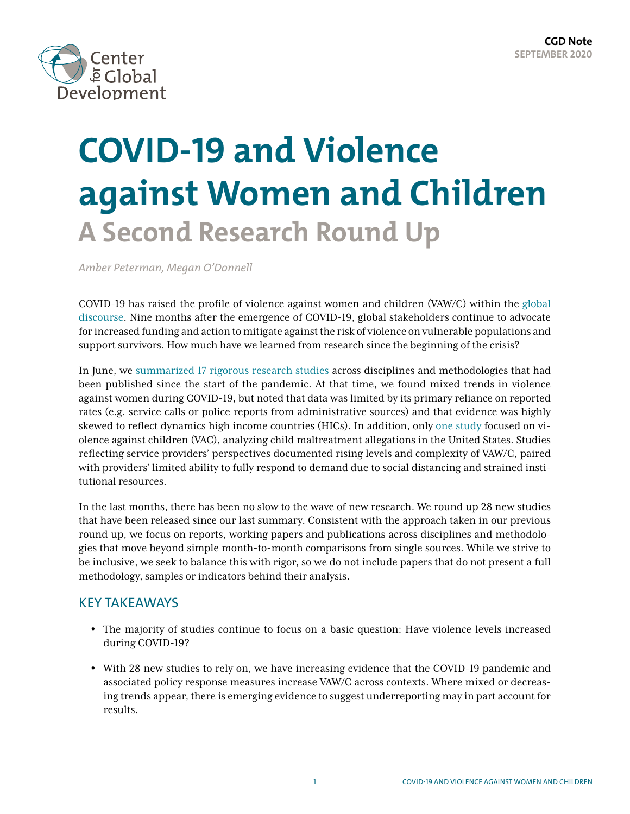

# **COVID-19 and Violence against Women and Children A Second Research Round Up**

*Amber Peterman, Megan O'Donnell* 

COVID-19 has raised the profile of violence against women and children (VAW/C) within the [global](https://www.thinkglobalhealth.org/article/violence-times-coronavirus-ugly-truth)  [discourse](https://www.thinkglobalhealth.org/article/violence-times-coronavirus-ugly-truth). Nine months after the emergence of COVID-19, global stakeholders continue to advocate for increased funding and action to mitigate against the risk of violence on vulnerable populations and support survivors. How much have we learned from research since the beginning of the crisis?

In June, we [summarized 17 rigorous research studies](https://www.cgdev.org/publication/covid-19-violence-against-women-and-children-what-have-we-learned-so-far) across disciplines and methodologies that had been published since the start of the pandemic. At that time, we found mixed trends in violence against women during COVID-19, but noted that data was limited by its primary reliance on reported rates (e.g. service calls or police reports from administrative sources) and that evidence was highly skewed to reflect dynamics high income countries (HICs). In addition, only [one study](https://papers.ssrn.com/sol3/papers.cfm?abstract_id=3601399) focused on violence against children (VAC), analyzing child maltreatment allegations in the United States. Studies reflecting service providers' perspectives documented rising levels and complexity of VAW/C, paired with providers' limited ability to fully respond to demand due to social distancing and strained institutional resources.

In the last months, there has been no slow to the wave of new research. We round up 28 new studies that have been released since our last summary. Consistent with the approach taken in our previous round up, we focus on reports, working papers and publications across disciplines and methodologies that move beyond simple month-to-month comparisons from single sources. While we strive to be inclusive, we seek to balance this with rigor, so we do not include papers that do not present a full methodology, samples or indicators behind their analysis.

### KEY TAKEAWAYS

- The majority of studies continue to focus on a basic question: Have violence levels increased during COVID-19?
- With 28 new studies to rely on, we have increasing evidence that the COVID-19 pandemic and associated policy response measures increase VAW/C across contexts. Where mixed or decreasing trends appear, there is emerging evidence to suggest underreporting may in part account for results.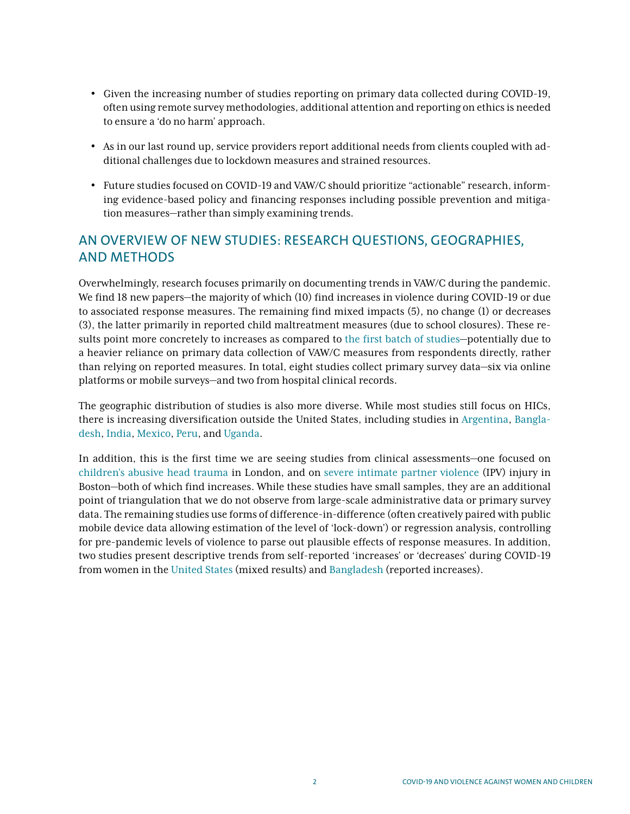- Given the increasing number of studies reporting on primary data collected during COVID-19, often using remote survey methodologies, additional attention and reporting on ethics is needed to ensure a 'do no harm' approach.
- As in our last round up, service providers report additional needs from clients coupled with additional challenges due to lockdown measures and strained resources.
- Future studies focused on COVID-19 and VAW/C should prioritize "actionable" research, informing evidence-based policy and financing responses including possible prevention and mitigation measures—rather than simply examining trends.

## AN OVERVIEW OF NEW STUDIES: RESEARCH QUESTIONS, GEOGRAPHIES, AND METHODS

Overwhelmingly, research focuses primarily on documenting trends in VAW/C during the pandemic. We find 18 new papers—the majority of which (10) find increases in violence during COVID-19 or due to associated response measures. The remaining find mixed impacts (5), no change (1) or decreases (3), the latter primarily in reported child maltreatment measures (due to school closures). These results point more concretely to increases as compared to [the first batch of studies](https://www.cgdev.org/publication/covid-19-violence-against-women-and-children-what-have-we-learned-so-far)—potentially due to a heavier reliance on primary data collection of VAW/C measures from respondents directly, rather than relying on reported measures. In total, eight studies collect primary survey data—six via online platforms or mobile surveys—and two from hospital clinical records.

The geographic distribution of studies is also more diverse. While most studies still focus on HICs, there is increasing diversification outside the United States, including studies in [Argentina](https://publications.iadb.org/en/covid-19-lockdowns-and-domestic-violence-evidence-from-two-studies-in-argentina), [Bangla](https://www.thelancet.com/journals/langlo/article/PIIS2214-109X(20)30366-1/fulltext)[desh](https://www.thelancet.com/journals/langlo/article/PIIS2214-109X(20)30366-1/fulltext), [India,](https://www.nber.org/papers/w27562) [Mexico](https://ideas.repec.org/p/ten/wpaper/2020-02.html), [Peru](https://ideas.repec.org/p/uct/uconnp/2020-05.html), and [Uganda](https://emmaalriley.files.wordpress.com/2020/05/rtv_covid_19-17.pdf).

In addition, this is the first time we are seeing studies from clinical assessments—one focused on [children's abusive head trauma](https://adc.bmj.com/content/early/2020/06/30/archdischild-2020-319872) in London, and on [severe intimate partner violence](https://pubs.rsna.org/doi/pdf/10.1148/radiol.2020202866) (IPV) injury in Boston—both of which find increases. While these studies have small samples, they are an additional point of triangulation that we do not observe from large-scale administrative data or primary survey data. The remaining studies use forms of difference-in-difference (often creatively paired with public mobile device data allowing estimation of the level of 'lock-down') or regression analysis, controlling for pre-pandemic levels of violence to parse out plausible effects of response measures. In addition, two studies present descriptive trends from self-reported 'increases' or 'decreases' during COVID-19 from women in the [United States](https://injuryprevention.bmj.com/content/early/2020/09/01/injuryprev-2020-043831) (mixed results) and [Bangladesh](https://www.thelancet.com/journals/langlo/article/PIIS2214-109X(20)30366-1/fulltext) (reported increases).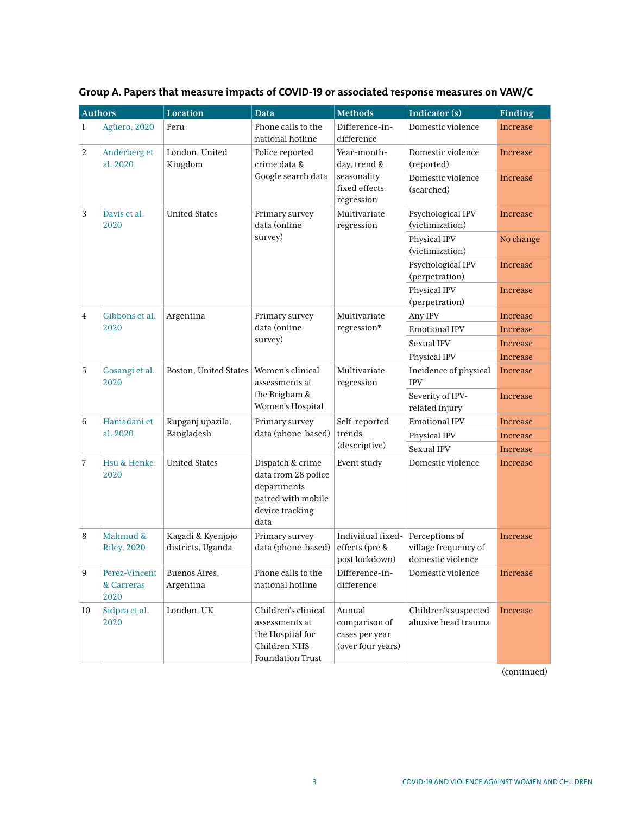|                  | <b>Authors</b>                      | <b>Location</b>                        | Data                                                                                                    | <b>Methods</b>                                                            | Indicator (s)                                               | <b>Finding</b> |
|------------------|-------------------------------------|----------------------------------------|---------------------------------------------------------------------------------------------------------|---------------------------------------------------------------------------|-------------------------------------------------------------|----------------|
| 1                | Agüero, 2020                        | Peru                                   | Phone calls to the<br>national hotline                                                                  | Difference-in-<br>difference                                              | Domestic violence                                           | Increase       |
| $\boldsymbol{2}$ | Anderberg et<br>al. 2020            | London, United<br>Kingdom              | Police reported<br>crime data &<br>Google search data                                                   | Year-month-<br>day, trend &<br>seasonality<br>fixed effects<br>regression | Domestic violence<br>(reported)                             | Increase       |
|                  |                                     |                                        |                                                                                                         |                                                                           | Domestic violence<br>(searched)                             | Increase       |
| 3                | Davis et al.<br>2020                | <b>United States</b>                   | Primary survey<br>data (online<br>survey)                                                               | Multivariate<br>regression                                                | Psychological IPV<br>(victimization)                        | Increase       |
|                  |                                     |                                        |                                                                                                         |                                                                           | Physical IPV<br>(victimization)                             | No change      |
|                  |                                     |                                        |                                                                                                         |                                                                           | Psychological IPV<br>(perpetration)                         | Increase       |
|                  |                                     |                                        |                                                                                                         |                                                                           | Physical IPV<br>(perpetration)                              | Increase       |
| 4                | Gibbons et al.                      | Argentina                              | Primary survey<br>data (online<br>survey)                                                               | Multivariate                                                              | Any IPV                                                     | Increase       |
|                  | 2020                                |                                        |                                                                                                         | regression*                                                               | <b>Emotional IPV</b>                                        | Increase       |
|                  |                                     |                                        |                                                                                                         |                                                                           | Sexual IPV                                                  | Increase       |
|                  |                                     |                                        |                                                                                                         |                                                                           | Physical IPV                                                | Increase       |
| 5                | Gosangi et al.<br>2020              | Boston, United States                  | Women's clinical<br>assessments at<br>the Brigham &<br>Women's Hospital                                 | Multivariate<br>regression                                                | Incidence of physical<br><b>IPV</b>                         | Increase       |
|                  |                                     |                                        |                                                                                                         |                                                                           | Severity of IPV-<br>related injury                          | Increase       |
| 6                | Hamadani et<br>al. 2020             | Rupganj upazila,<br>Bangladesh         | Primary survey<br>data (phone-based)                                                                    | Self-reported<br>trends<br>(descriptive)                                  | <b>Emotional IPV</b>                                        | Increase       |
|                  |                                     |                                        |                                                                                                         |                                                                           | Physical IPV                                                | Increase       |
|                  |                                     |                                        |                                                                                                         |                                                                           | Sexual IPV                                                  | Increase       |
| 7                | Hsu & Henke,<br>2020                | <b>United States</b>                   | Dispatch & crime<br>data from 28 police<br>departments<br>paired with mobile<br>device tracking<br>data | Event study                                                               | Domestic violence                                           | Increase       |
| 8                | Mahmud &<br><b>Riley, 2020</b>      | Kagadi & Kyenjojo<br>districts, Uganda | Primary survey<br>data (phone-based)                                                                    | Individual fixed-<br>effects (pre &<br>post lockdown)                     | Perceptions of<br>village frequency of<br>domestic violence | Increase       |
| 9                | Perez-Vincent<br>& Carreras<br>2020 | Buenos Aires,<br>Argentina             | Phone calls to the<br>national hotline                                                                  | Difference-in-<br>difference                                              | Domestic violence                                           | Increase       |
| 10               | Sidpra et al.<br>2020               | London, UK                             | Children's clinical<br>assessments at<br>the Hospital for<br>Children NHS<br><b>Foundation Trust</b>    | Annual<br>comparison of<br>cases per year<br>(over four years)            | Children's suspected<br>abusive head trauma                 | Increase       |

## **Group A. Papers that measure impacts of COVID-19 or associated response measures on VAW/C**

(continued)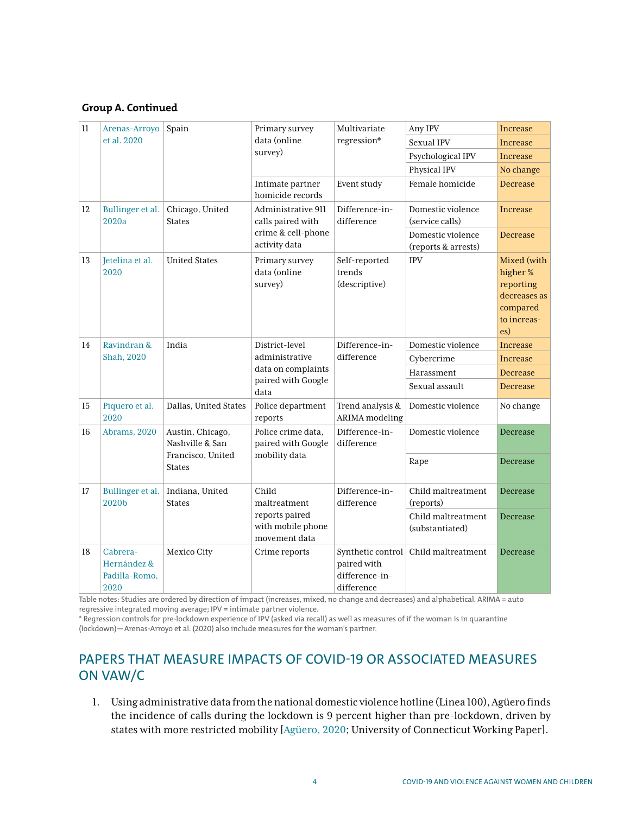#### **Group A. Continued**

| 11 | Arenas-Arroyo                                    | Spain                               | Primary survey                                                                 | Multivariate                                                     | Any IPV                                  | Increase                                                                              |
|----|--------------------------------------------------|-------------------------------------|--------------------------------------------------------------------------------|------------------------------------------------------------------|------------------------------------------|---------------------------------------------------------------------------------------|
|    | et al. 2020                                      |                                     | data (online<br>survey)                                                        | regression*                                                      | Sexual IPV                               | Increase                                                                              |
|    |                                                  |                                     |                                                                                |                                                                  |                                          |                                                                                       |
|    |                                                  |                                     |                                                                                |                                                                  | Psychological IPV                        | Increase                                                                              |
|    |                                                  |                                     |                                                                                |                                                                  | Physical IPV                             | No change                                                                             |
|    |                                                  |                                     | Intimate partner<br>homicide records                                           | Event study                                                      | Female homicide                          | Decrease                                                                              |
| 12 | Bullinger et al.<br>2020a                        | Chicago, United<br><b>States</b>    | Administrative 911<br>calls paired with<br>crime & cell-phone<br>activity data | Difference-in-<br>difference                                     | Domestic violence<br>(service calls)     | Increase                                                                              |
|    |                                                  |                                     |                                                                                |                                                                  | Domestic violence<br>(reports & arrests) | Decrease                                                                              |
| 13 | Jetelina et al.<br>2020                          | <b>United States</b>                | Primary survey<br>data (online<br>survey)                                      | Self-reported<br>trends<br>(descriptive)                         | <b>IPV</b>                               | Mixed (with<br>higher%<br>reporting<br>decreases as<br>compared<br>to increas-<br>es) |
| 14 | Ravindran &                                      | India                               | District-level                                                                 | Difference-in-                                                   | Domestic violence                        | Increase                                                                              |
|    | Shah, 2020                                       |                                     | administrative<br>data on complaints<br>paired with Google<br>data             | difference                                                       | Cybercrime                               | Increase                                                                              |
|    |                                                  |                                     |                                                                                |                                                                  | Harassment                               | Decrease                                                                              |
|    |                                                  |                                     |                                                                                |                                                                  | Sexual assault                           | Decrease                                                                              |
| 15 | Piquero et al.<br>2020                           | Dallas, United States               | Police department<br>reports                                                   | Trend analysis &<br>ARIMA modeling                               | Domestic violence                        | No change                                                                             |
| 16 | Abrams, 2020                                     | Austin, Chicago,<br>Nashville & San | Police crime data,<br>paired with Google                                       | Difference-in-<br>difference                                     | Domestic violence                        | Decrease                                                                              |
|    |                                                  | Francisco, United<br><b>States</b>  | mobility data                                                                  |                                                                  | Rape                                     | Decrease                                                                              |
| 17 | Bullinger et al.<br>2020b                        | Indiana, United<br><b>States</b>    | Child<br>maltreatment                                                          | Difference-in-<br>difference                                     | Child maltreatment<br>(reports)          | Decrease                                                                              |
|    |                                                  |                                     | reports paired<br>with mobile phone<br>movement data                           |                                                                  | Child maltreatment<br>(substantiated)    | Decrease                                                                              |
| 18 | Cabrera-<br>Hernández &<br>Padilla-Romo,<br>2020 | Mexico City                         | Crime reports                                                                  | Synthetic control<br>paired with<br>difference-in-<br>difference | Child maltreatment                       | Decrease                                                                              |

Table notes: Studies are ordered by direction of impact (increases, mixed, no change and decreases) and alphabetical. ARIMA = auto regressive integrated moving average; IPV = intimate partner violence.

\* Regression controls for pre-lockdown experience of IPV (asked via recall) as well as measures of if the woman is in quarantine (lockdown)—Arenas-Arroyo et al. (2020) also include measures for the woman's partner.

## PAPERS THAT MEASURE IMPACTS OF COVID-19 OR ASSOCIATED MEASURES ON VAW/C

1. Using administrative data from the national domestic violence hotline (Linea 100), Agüero finds the incidence of calls during the lockdown is 9 percent higher than pre-lockdown, driven by states with more restricted mobility [[Agüero, 2020](https://ideas.repec.org/p/uct/uconnp/2020-05.html); University of Connecticut Working Paper].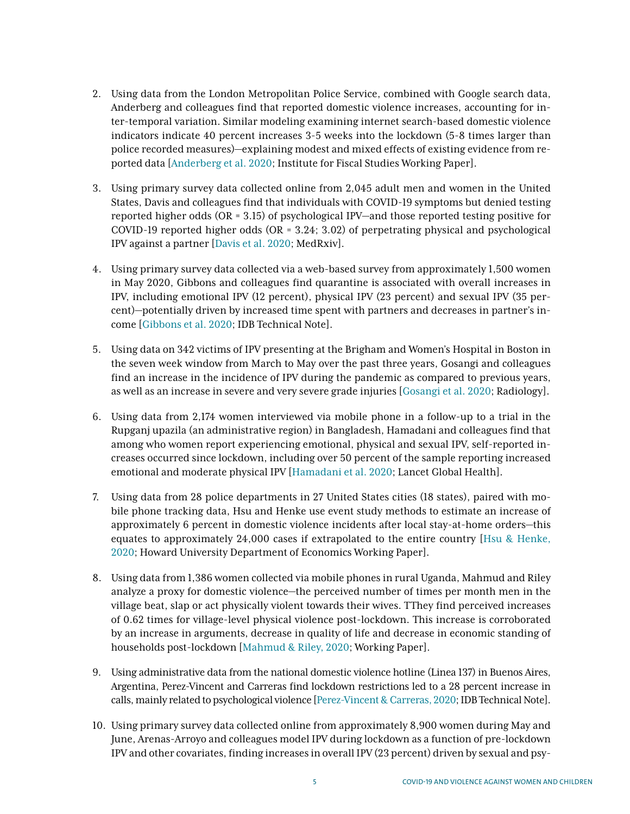- 2. Using data from the London Metropolitan Police Service, combined with Google search data, Anderberg and colleagues find that reported domestic violence increases, accounting for inter-temporal variation. Similar modeling examining internet search-based domestic violence indicators indicate 40 percent increases 3-5 weeks into the lockdown (5-8 times larger than police recorded measures)—explaining modest and mixed effects of existing evidence from reported data [\[Anderberg et al. 2020](https://www.ifs.org.uk/publications/14985); Institute for Fiscal Studies Working Paper].
- 3. Using primary survey data collected online from 2,045 adult men and women in the United States, Davis and colleagues find that individuals with COVID-19 symptoms but denied testing reported higher odds (OR = 3.15) of psychological IPV—and those reported testing positive for COVID-19 reported higher odds (OR = 3.24; 3.02) of perpetrating physical and psychological IPV against a partner [[Davis et al. 2020;](https://www.medrxiv.org/content/medrxiv/early/2020/06/09/2020.06.08.20125914.full.pdf) MedRxiv].
- 4. Using primary survey data collected via a web-based survey from approximately 1,500 women in May 2020, Gibbons and colleagues find quarantine is associated with overall increases in IPV, including emotional IPV (12 percent), physical IPV (23 percent) and sexual IPV (35 percent)—potentially driven by increased time spent with partners and decreases in partner's income [\[Gibbons et al. 2020;](https://publications.iadb.org/en/covid-19-lockdowns-and-domestic-violence-evidence-from-two-studies-in-argentina) IDB Technical Note].
- 5. Using data on 342 victims of IPV presenting at the Brigham and Women's Hospital in Boston in the seven week window from March to May over the past three years, Gosangi and colleagues find an increase in the incidence of IPV during the pandemic as compared to previous years, as well as an increase in severe and very severe grade injuries [\[Gosangi et al. 2020](https://pubs.rsna.org/doi/pdf/10.1148/radiol.2020202866); Radiology].
- 6. Using data from 2,174 women interviewed via mobile phone in a follow-up to a trial in the Rupganj upazila (an administrative region) in Bangladesh, Hamadani and colleagues find that among who women report experiencing emotional, physical and sexual IPV, self-reported increases occurred since lockdown, including over 50 percent of the sample reporting increased emotional and moderate physical IPV [[Hamadani et al. 2020](https://www.thelancet.com/journals/langlo/article/PIIS2214-109X(20)30366-1/fulltext); Lancet Global Health].
- 7. Using data from 28 police departments in 27 United States cities (18 states), paired with mobile phone tracking data, Hsu and Henke use event study methods to estimate an increase of approximately 6 percent in domestic violence incidents after local stay-at-home orders—this equates to approximately 24,000 cases if extrapolated to the entire country [[Hsu & Henke,](https://papers.ssrn.com/sol3/papers.cfm?abstract_id=3646299)  [2020;](https://papers.ssrn.com/sol3/papers.cfm?abstract_id=3646299) Howard University Department of Economics Working Paper].
- 8. Using data from 1,386 women collected via mobile phones in rural Uganda, Mahmud and Riley analyze a proxy for domestic violence—the perceived number of times per month men in the village beat, slap or act physically violent towards their wives. TThey find perceived increases of 0.62 times for village-level physical violence post-lockdown. This increase is corroborated by an increase in arguments, decrease in quality of life and decrease in economic standing of households post-lockdown [[Mahmud & Riley, 2020;](https://emmaalriley.files.wordpress.com/2020/05/rtv_covid_19-17.pdf) Working Paper].
- 9. Using administrative data from the national domestic violence hotline (Linea 137) in Buenos Aires, Argentina, Perez-Vincent and Carreras find lockdown restrictions led to a 28 percent increase in calls, mainly related to psychological violence [\[Perez-Vincent & Carreras, 2020](https://publications.iadb.org/en/covid-19-lockdowns-and-domestic-violence-evidence-from-two-studies-in-argentina); IDB Technical Note].
- 10. Using primary survey data collected online from approximately 8,900 women during May and June, Arenas-Arroyo and colleagues model IPV during lockdown as a function of pre-lockdown IPV and other covariates, finding increases in overall IPV (23 percent) driven by sexual and psy-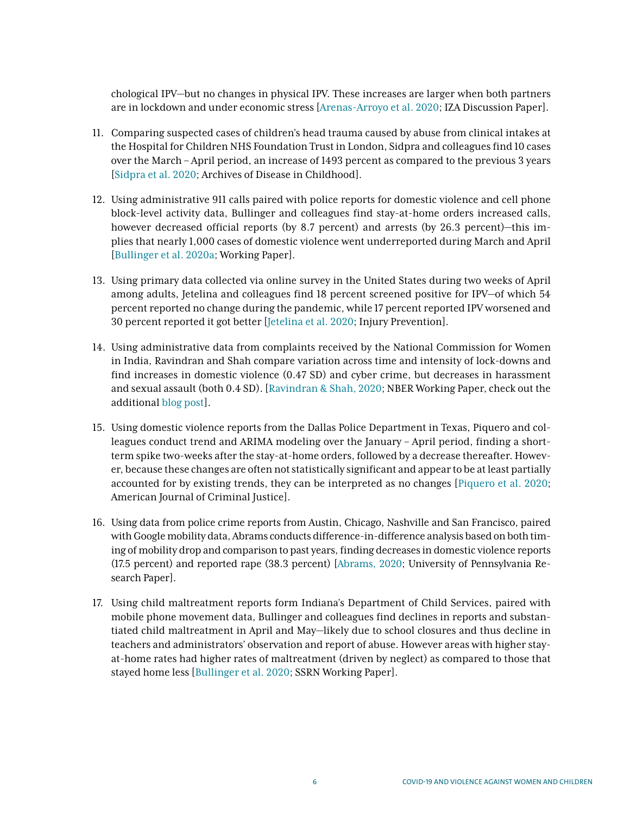chological IPV—but no changes in physical IPV. These increases are larger when both partners are in lockdown and under economic stress [[Arenas-Arroyo et al. 2020;](http://ftp.iza.org/dp13570.pdf) IZA Discussion Paper].

- 11. Comparing suspected cases of children's head trauma caused by abuse from clinical intakes at the Hospital for Children NHS Foundation Trust in London, Sidpra and colleagues find 10 cases over the March – April period, an increase of 1493 percent as compared to the previous 3 years [[Sidpra et al. 2020;](https://adc.bmj.com/content/early/2020/06/30/archdischild-2020-319872) Archives of Disease in Childhood].
- 12. Using administrative 911 calls paired with police reports for domestic violence and cell phone block-level activity data, Bullinger and colleagues find stay-at-home orders increased calls, however decreased official reports (by 8.7 percent) and arrests (by 26.3 percent)—this implies that nearly 1,000 cases of domestic violence went underreported during March and April [[Bullinger et al. 2020a;](https://apackham.github.io/mywebsite/COVID_crime_webversion.pdf) Working Paper].
- 13. Using primary data collected via online survey in the United States during two weeks of April among adults, Jetelina and colleagues find 18 percent screened positive for IPV—of which 54 percent reported no change during the pandemic, while 17 percent reported IPV worsened and 30 percent reported it got better [\[Jetelina et al. 2020;](https://injuryprevention.bmj.com/content/early/2020/09/01/injuryprev-2020-043831) Injury Prevention].
- 14. Using administrative data from complaints received by the National Commission for Women in India, Ravindran and Shah compare variation across time and intensity of lock-downs and find increases in domestic violence (0.47 SD) and cyber crime, but decreases in harassment and sexual assault (both 0.4 SD). [\[Ravindran & Shah, 2020](https://www.nber.org/papers/w27562); NBER Working Paper, check out the additional [blog post](https://blogs.worldbank.org/impactevaluations/using-district-variation-covid-19-lockdowns-india-assess-their-impact-violence)].
- 15. Using domestic violence reports from the Dallas Police Department in Texas, Piquero and colleagues conduct trend and ARIMA modeling over the January – April period, finding a shortterm spike two-weeks after the stay-at-home orders, followed by a decrease thereafter. However, because these changes are often not statistically significant and appear to be at least partially accounted for by existing trends, they can be interpreted as no changes [\[Piquero et al. 2020](https://link.springer.com/article/10.1007%2Fs12103-020-09531-7); American Journal of Criminal Justice].
- 16. Using data from police crime reports from Austin, Chicago, Nashville and San Francisco, paired with Google mobility data, Abrams conducts difference-in-difference analysis based on both timing of mobility drop and comparison to past years, finding decreases in domestic violence reports (17.5 percent) and reported rape (38.3 percent) [\[Abrams, 2020;](https://scholarship.law.upenn.edu/faculty_scholarship/2204/) University of Pennsylvania Research Paper].
- 17. Using child maltreatment reports form Indiana's Department of Child Services, paired with mobile phone movement data, Bullinger and colleagues find declines in reports and substantiated child maltreatment in April and May—likely due to school closures and thus decline in teachers and administrators' observation and report of abuse. However areas with higher stayat-home rates had higher rates of maltreatment (driven by neglect) as compared to those that stayed home less [[Bullinger et al. 2020;](https://poseidon01.ssrn.com/delivery.php?ID=927103126008003090096029114094088011118033030042010043122095074030065124094090117010026005017013006005055071122100126000101090055066031061002121125112127082080089116004008057001082105107025124066122064098121123082065080012013105085124099102064028022092&EXT=pdf) SSRN Working Paper].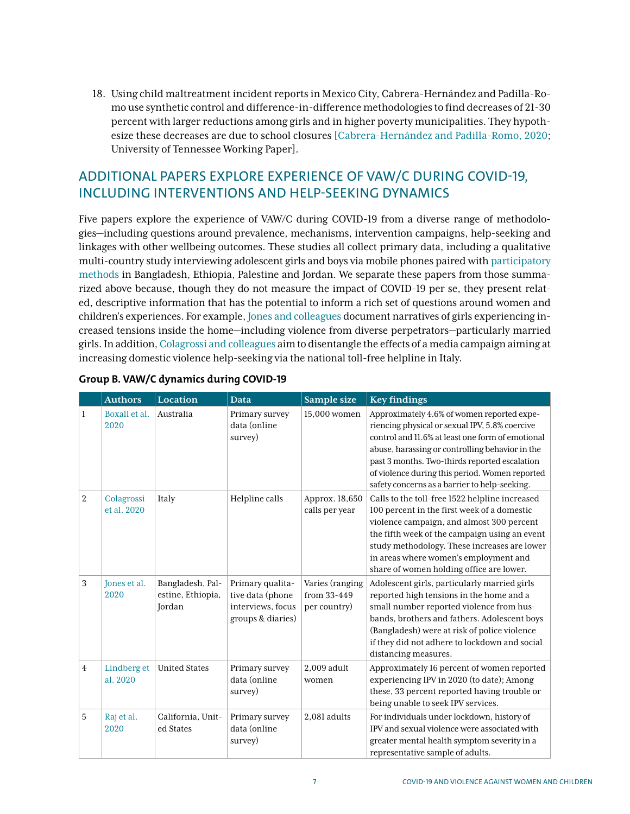18. Using child maltreatment incident reports in Mexico City, Cabrera-Hernández and Padilla-Romo use synthetic control and difference-in-difference methodologies to find decreases of 21-30 percent with larger reductions among girls and in higher poverty municipalities. They hypothesize these decreases are due to school closures [\[Cabrera-Hernández and Padilla-Romo, 2020](https://ideas.repec.org/p/ten/wpaper/2020-02.html); University of Tennessee Working Paper].

## ADDITIONAL PAPERS EXPLORE EXPERIENCE OF VAW/C DURING COVID-19, INCLUDING INTERVENTIONS AND HELP-SEEKING DYNAMICS

Five papers explore the experience of VAW/C during COVID-19 from a diverse range of methodologies—including questions around prevalence, mechanisms, intervention campaigns, help-seeking and linkages with other wellbeing outcomes. These studies all collect primary data, including a qualitative multi-country study interviewing adolescent girls and boys via mobile phones paired with [participatory](https://www.odi.org/publications/17043-gage-virtual-research-toolkit-qualitative-research-young-people-their-covid-19-experiences)  [methods](https://www.odi.org/publications/17043-gage-virtual-research-toolkit-qualitative-research-young-people-their-covid-19-experiences) in Bangladesh, Ethiopia, Palestine and Jordan. We separate these papers from those summarized above because, though they do not measure the impact of COVID-19 per se, they present related, descriptive information that has the potential to inform a rich set of questions around women and children's experiences. For example, [Jones and colleagues](https://www.gage.odi.org/publication/i-have-nothing-to-feed-my-family-covid-19-risk-pathways-for-adolescent-girls-in-low-and-middle-income-countries/) document narratives of girls experiencing increased tensions inside the home—including violence from diverse perpetrators—particularly married girls. In addition, [Colagrossi and colleagues](https://papers.ssrn.com/sol3/papers.cfm?abstract_id=3643922) aim to disentangle the effects of a media campaign aiming at increasing domestic violence help-seeking via the national toll-free helpline in Italy.

|                | <b>Authors</b>            | <b>Location</b>                                 | Data                                                                           | <b>Sample size</b>                             | <b>Key findings</b>                                                                                                                                                                                                                                                                                                                                     |
|----------------|---------------------------|-------------------------------------------------|--------------------------------------------------------------------------------|------------------------------------------------|---------------------------------------------------------------------------------------------------------------------------------------------------------------------------------------------------------------------------------------------------------------------------------------------------------------------------------------------------------|
| 1              | Boxall et al.<br>2020     | Australia                                       | Primary survey<br>data (online<br>survey)                                      | 15.000 women                                   | Approximately 4.6% of women reported expe-<br>riencing physical or sexual IPV, 5.8% coercive<br>control and 11.6% at least one form of emotional<br>abuse, harassing or controlling behavior in the<br>past 3 months. Two-thirds reported escalation<br>of violence during this period. Women reported<br>safety concerns as a barrier to help-seeking. |
| $\overline{2}$ | Colagrossi<br>et al. 2020 | Italy                                           | Helpline calls                                                                 | Approx. 18,650<br>calls per year               | Calls to the toll-free 1522 helpline increased<br>100 percent in the first week of a domestic<br>violence campaign, and almost 300 percent<br>the fifth week of the campaign using an event<br>study methodology. These increases are lower<br>in areas where women's employment and<br>share of women holding office are lower.                        |
| 3              | Jones et al.<br>2020      | Bangladesh, Pal-<br>estine, Ethiopia,<br>Jordan | Primary qualita-<br>tive data (phone<br>interviews, focus<br>groups & diaries) | Varies (ranging<br>from 33-449<br>per country) | Adolescent girls, particularly married girls<br>reported high tensions in the home and a<br>small number reported violence from hus-<br>bands, brothers and fathers. Adolescent boys<br>(Bangladesh) were at risk of police violence<br>if they did not adhere to lockdown and social<br>distancing measures.                                           |
| $\overline{4}$ | Lindberg et<br>al. 2020   | <b>United States</b>                            | Primary survey<br>data (online<br>survey)                                      | 2,009 adult<br>women                           | Approximately 16 percent of women reported<br>experiencing IPV in 2020 (to date); Among<br>these, 33 percent reported having trouble or<br>being unable to seek IPV services.                                                                                                                                                                           |
| 5              | Raj et al.<br>2020        | California, Unit-<br>ed States                  | Primary survey<br>data (online<br>survey)                                      | 2,081 adults                                   | For individuals under lockdown, history of<br>IPV and sexual violence were associated with<br>greater mental health symptom severity in a<br>representative sample of adults.                                                                                                                                                                           |

#### **Group B. VAW/C dynamics during COVID-19**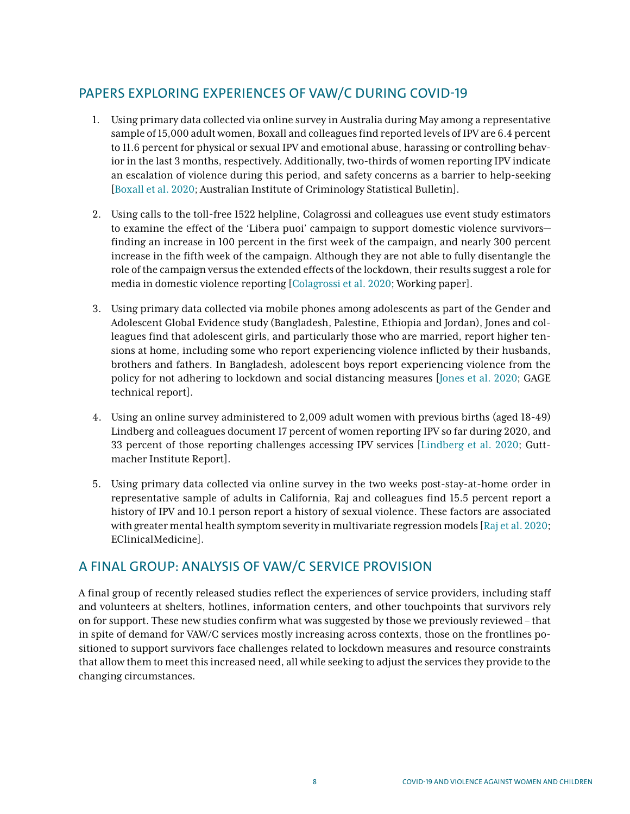## PAPERS EXPLORING EXPERIENCES OF VAW/C DURING COVID-19

- 1. Using primary data collected via online survey in Australia during May among a representative sample of 15,000 adult women, Boxall and colleagues find reported levels of IPV are 6.4 percent to 11.6 percent for physical or sexual IPV and emotional abuse, harassing or controlling behavior in the last 3 months, respectively. Additionally, two-thirds of women reporting IPV indicate an escalation of violence during this period, and safety concerns as a barrier to help-seeking [[Boxall et al. 2020](https://www.aic.gov.au/sites/default/files/2020-07/sb28_prevalence_of_domestic_violence_among_women_during_covid-19_pandemic.pdf); Australian Institute of Criminology Statistical Bulletin].
- 2. Using calls to the toll-free 1522 helpline, Colagrossi and colleagues use event study estimators to examine the effect of the 'Libera puoi' campaign to support domestic violence survivors finding an increase in 100 percent in the first week of the campaign, and nearly 300 percent increase in the fifth week of the campaign. Although they are not able to fully disentangle the role of the campaign versus the extended effects of the lockdown, their results suggest a role for media in domestic violence reporting [[Colagrossi et al. 2020](https://papers.ssrn.com/sol3/papers.cfm?abstract_id=3643922); Working paper].
- 3. Using primary data collected via mobile phones among adolescents as part of the Gender and Adolescent Global Evidence study (Bangladesh, Palestine, Ethiopia and Jordan), Jones and colleagues find that adolescent girls, and particularly those who are married, report higher tensions at home, including some who report experiencing violence inflicted by their husbands, brothers and fathers. In Bangladesh, adolescent boys report experiencing violence from the policy for not adhering to lockdown and social distancing measures [\[Jones et al. 2020;](https://www.gage.odi.org/publication/i-have-nothing-to-feed-my-family-covid-19-risk-pathways-for-adolescent-girls-in-low-and-middle-income-countries/) GAGE technical report].
- 4. Using an online survey administered to 2,009 adult women with previous births (aged 18-49) Lindberg and colleagues document 17 percent of women reporting IPV so far during 2020, and 33 percent of those reporting challenges accessing IPV services [\[Lindberg et al. 2020](https://www.guttmacher.org/report/early-impacts-covid-19-pandemic-findings-2020-guttmacher-survey-reproductive-health); Guttmacher Institute Report].
- 5. Using primary data collected via online survey in the two weeks post-stay-at-home order in representative sample of adults in California, Raj and colleagues find 15.5 percent report a history of IPV and 10.1 person report a history of sexual violence. These factors are associated with greater mental health symptom severity in multivariate regression models [\[Raj et al. 2020](https://www.thelancet.com/journals/eclinm/article/PIIS2589-5370(20)30264-9/fulltext); EClinicalMedicine].

## A FINAL GROUP: ANALYSIS OF VAW/C SERVICE PROVISION

A final group of recently released studies reflect the experiences of service providers, including staff and volunteers at shelters, hotlines, information centers, and other touchpoints that survivors rely on for support. These new studies confirm what was suggested by those we previously reviewed – that in spite of demand for VAW/C services mostly increasing across contexts, those on the frontlines positioned to support survivors face challenges related to lockdown measures and resource constraints that allow them to meet this increased need, all while seeking to adjust the services they provide to the changing circumstances.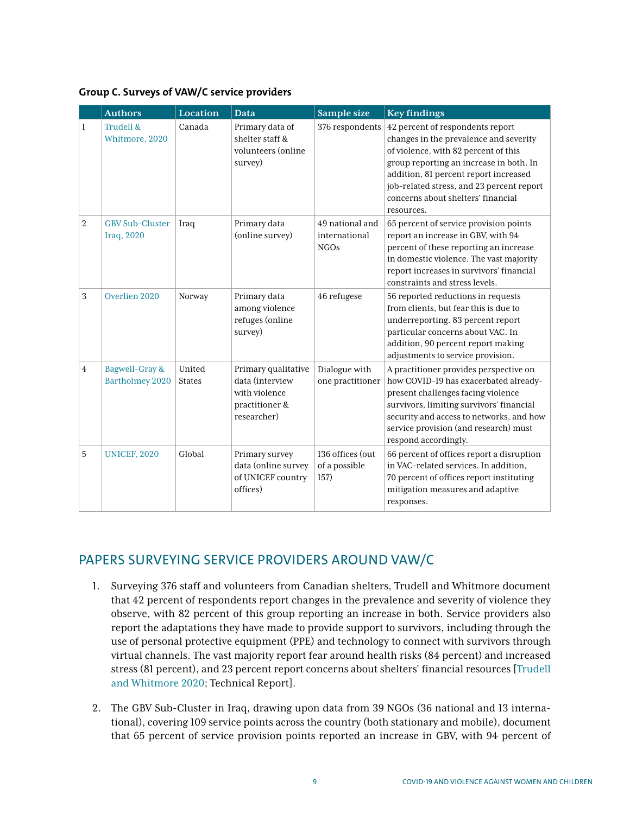|  |  | Group C. Surveys of VAW/C service providers |
|--|--|---------------------------------------------|
|--|--|---------------------------------------------|

|                | <b>Authors</b>                              | <b>Location</b>         | Data                                                                                     | Sample size                                     | <b>Key findings</b>                                                                                                                                                                                                                                                                                     |
|----------------|---------------------------------------------|-------------------------|------------------------------------------------------------------------------------------|-------------------------------------------------|---------------------------------------------------------------------------------------------------------------------------------------------------------------------------------------------------------------------------------------------------------------------------------------------------------|
| 1              | Trudell &<br>Whitmore, 2020                 | Canada                  | Primary data of<br>shelter staff &<br>volunteers (online<br>survey)                      | 376 respondents                                 | 42 percent of respondents report<br>changes in the prevalence and severity<br>of violence, with 82 percent of this<br>group reporting an increase in both. In<br>addition, 81 percent report increased<br>job-related stress, and 23 percent report<br>concerns about shelters' financial<br>resources. |
| $\overline{2}$ | <b>GBV Sub-Cluster</b><br><b>Iraq, 2020</b> | Iraq                    | Primary data<br>(online survey)                                                          | 49 national and<br>international<br><b>NGOs</b> | 65 percent of service provision points<br>report an increase in GBV, with 94<br>percent of these reporting an increase<br>in domestic violence. The vast majority<br>report increases in survivors' financial<br>constraints and stress levels.                                                         |
| 3              | Overlien 2020                               | Norway                  | Primary data<br>among violence<br>refuges (online<br>survey)                             | 46 refugese                                     | 56 reported reductions in requests<br>from clients, but fear this is due to<br>underreporting. 83 percent report<br>particular concerns about VAC. In<br>addition, 90 percent report making<br>adjustments to service provision.                                                                        |
| $\overline{4}$ | Bagwell-Gray &<br><b>Bartholmey 2020</b>    | United<br><b>States</b> | Primary qualitative<br>data (interview<br>with violence<br>practitioner &<br>researcher) | Dialogue with<br>one practitioner               | A practitioner provides perspective on<br>how COVID-19 has exacerbated already-<br>present challenges facing violence<br>survivors, limiting survivors' financial<br>security and access to networks, and how<br>service provision (and research) must<br>respond accordingly.                          |
| 5              | <b>UNICEF, 2020</b>                         | Global                  | Primary survey<br>data (online survey<br>of UNICEF country<br>offices)                   | 136 offices (out<br>of a possible<br>157)       | 66 percent of offices report a disruption<br>in VAC-related services. In addition,<br>70 percent of offices report instituting<br>mitigation measures and adaptive<br>responses.                                                                                                                        |

## PAPERS SURVEYING SERVICE PROVIDERS AROUND VAW/C

- 1. Surveying 376 staff and volunteers from Canadian shelters, Trudell and Whitmore document that 42 percent of respondents report changes in the prevalence and severity of violence they observe, with 82 percent of this group reporting an increase in both. Service providers also report the adaptations they have made to provide support to survivors, including through the use of personal protective equipment (PPE) and technology to connect with survivors through virtual channels. The vast majority report fear around health risks (84 percent) and increased stress (81 percent), and 23 percent report concerns about shelters' financial resources [\[Trudell](http://www.anovafuture.org/wp-content/uploads/2020/08/Full-Report.pdf)  [and Whitmore 2020;](http://www.anovafuture.org/wp-content/uploads/2020/08/Full-Report.pdf) Technical Report].
- 2. The GBV Sub-Cluster in Iraq, drawing upon data from 39 NGOs (36 national and 13 international), covering 109 service points across the country (both stationary and mobile), document that 65 percent of service provision points reported an increase in GBV, with 94 percent of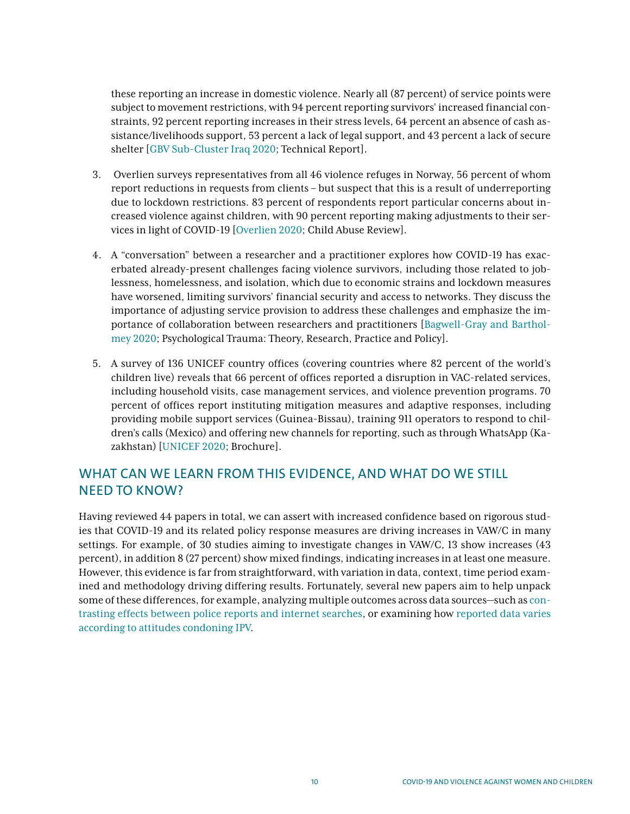these reporting an increase in domestic violence. Nearly all (87 percent) of service points were subject to movement restrictions, with 94 percent reporting survivors' increased financial constraints, 92 percent reporting increases in their stress levels, 64 percent an absence of cash assistance/livelihoods support, 53 percent a lack of legal support, and 43 percent a lack of secure shelter [\[GBV Sub-Cluster Iraq 2020](https://www.humanitarianresponse.info/en/operations/iraq/assessment/gbv-sub-cluster-rapid-assessment-impact-covid-19-outbreak-gender-based); Technical Report].

- 3. Overlien surveys representatives from all 46 violence refuges in Norway, 56 percent of whom report reductions in requests from clients – but suspect that this is a result of underreporting due to lockdown restrictions. 83 percent of respondents report particular concerns about increased violence against children, with 90 percent reporting making adjustments to their services in light of COVID-19 [\[Overlien 2020;](https://onlinelibrary.wiley.com/doi/10.1002/car.2650) Child Abuse Review].
- 4. A "conversation" between a researcher and a practitioner explores how COVID-19 has exacerbated already-present challenges facing violence survivors, including those related to joblessness, homelessness, and isolation, which due to economic strains and lockdown measures have worsened, limiting survivors' financial security and access to networks. They discuss the importance of adjusting service provision to address these challenges and emphasize the importance of collaboration between researchers and practitioners [\[Bagwell-Gray and Barthol](https://doi.apa.org/fulltext/2020-38899-001.html)[mey 2020](https://doi.apa.org/fulltext/2020-38899-001.html); Psychological Trauma: Theory, Research, Practice and Policy].
- 5. A survey of 136 UNICEF country offices (covering countries where 82 percent of the world's children live) reveals that 66 percent of offices reported a disruption in VAC-related services, including household visits, case management services, and violence prevention programs. 70 percent of offices report instituting mitigation measures and adaptive responses, including providing mobile support services (Guinea-Bissau), training 911 operators to respond to children's calls (Mexico) and offering new channels for reporting, such as through WhatsApp (Kazakhstan) [[UNICEF 2020](https://data.unicef.org/resources/protecting-children-from-violence-in-the-time-of-covid-19-brochure/); Brochure].

## WHAT CAN WE LEARN FROM THIS EVIDENCE, AND WHAT DO WE STILL NEED TO KNOW?

Having reviewed 44 papers in total, we can assert with increased confidence based on rigorous studies that COVID-19 and its related policy response measures are driving increases in VAW/C in many settings. For example, of 30 studies aiming to investigate changes in VAW/C, 13 show increases (43 percent), in addition 8 (27 percent) show mixed findings, indicating increases in at least one measure. However, this evidence is far from straightforward, with variation in data, context, time period examined and methodology driving differing results. Fortunately, several new papers aim to help unpack some of these differences, for example, analyzing multiple outcomes across data sources—such as [con](https://www.ifs.org.uk/publications/14985)[trasting effects between police reports and internet searches](https://www.ifs.org.uk/publications/14985), or examining how [reported data varies](https://www.nber.org/papers/w27562.pdf)  [according to attitudes condoning IPV](https://www.nber.org/papers/w27562.pdf).